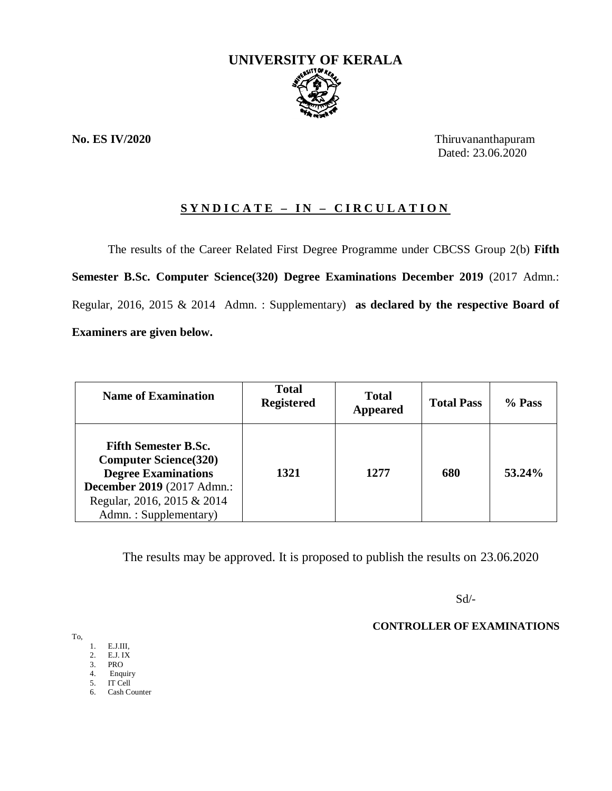

**No. ES IV/2020** Thiruvananthapuram Dated: 23.06.2020

# **S Y N D I C A T E – I N – C I R C U L A T I O N**

The results of the Career Related First Degree Programme under CBCSS Group 2(b) **Fifth Semester B.Sc. Computer Science(320) Degree Examinations December 2019** (2017 Admn.: Regular, 2016, 2015 & 2014 Admn. : Supplementary) **as declared by the respective Board of Examiners are given below.**

| <b>Name of Examination</b>                                                                                                                                                      | <b>Total</b><br><b>Registered</b> | <b>Total</b><br><b>Appeared</b> | <b>Total Pass</b> | $%$ Pass |
|---------------------------------------------------------------------------------------------------------------------------------------------------------------------------------|-----------------------------------|---------------------------------|-------------------|----------|
| <b>Fifth Semester B.Sc.</b><br><b>Computer Science</b> (320)<br><b>Degree Examinations</b><br>December 2019 (2017 Admn.:<br>Regular, 2016, 2015 & 2014<br>Admn.: Supplementary) | 1321                              | 1277                            | 680               | 53.24%   |

The results may be approved. It is proposed to publish the results on 23.06.2020

Sd/-

**CONTROLLER OF EXAMINATIONS**

To,

1. E.J.III,

- 2. E.J. IX
- 3. PRO
- 4. Enquiry 5. IT Cell
- 6. Cash Counter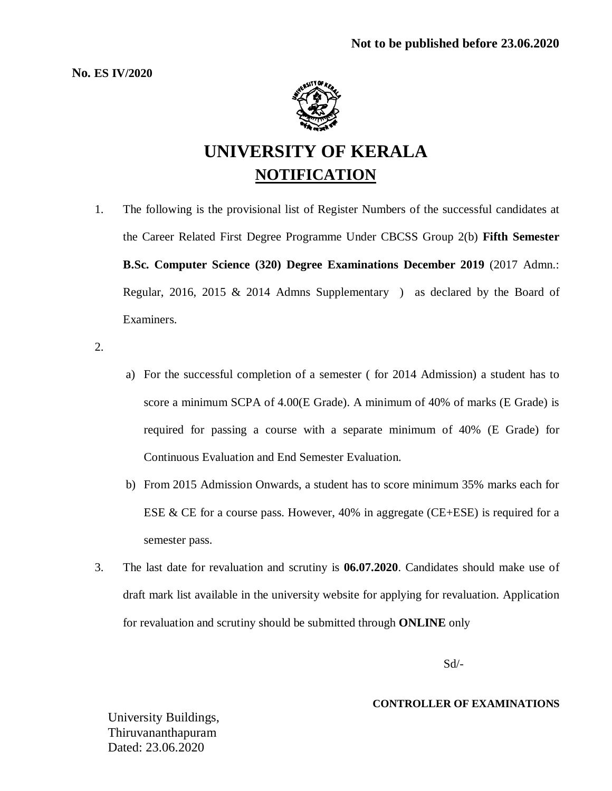**No. ES IV/2020**



# **UNIVERSITY OF KERALA NOTIFICATION**

1. The following is the provisional list of Register Numbers of the successful candidates at the Career Related First Degree Programme Under CBCSS Group 2(b) **Fifth Semester B.Sc. Computer Science (320) Degree Examinations December 2019** (2017 Admn.: Regular, 2016, 2015 & 2014 Admns Supplementary ) as declared by the Board of Examiners.

2.

- a) For the successful completion of a semester ( for 2014 Admission) a student has to score a minimum SCPA of 4.00(E Grade). A minimum of 40% of marks (E Grade) is required for passing a course with a separate minimum of 40% (E Grade) for Continuous Evaluation and End Semester Evaluation.
- b) From 2015 Admission Onwards, a student has to score minimum 35% marks each for ESE & CE for a course pass. However,  $40\%$  in aggregate (CE+ESE) is required for a semester pass.
- 3. The last date for revaluation and scrutiny is **06.07.2020**. Candidates should make use of draft mark list available in the university website for applying for revaluation. Application for revaluation and scrutiny should be submitted through **ONLINE** only

Sd/-

#### **CONTROLLER OF EXAMINATIONS**

University Buildings, Thiruvananthapuram Dated: 23.06.2020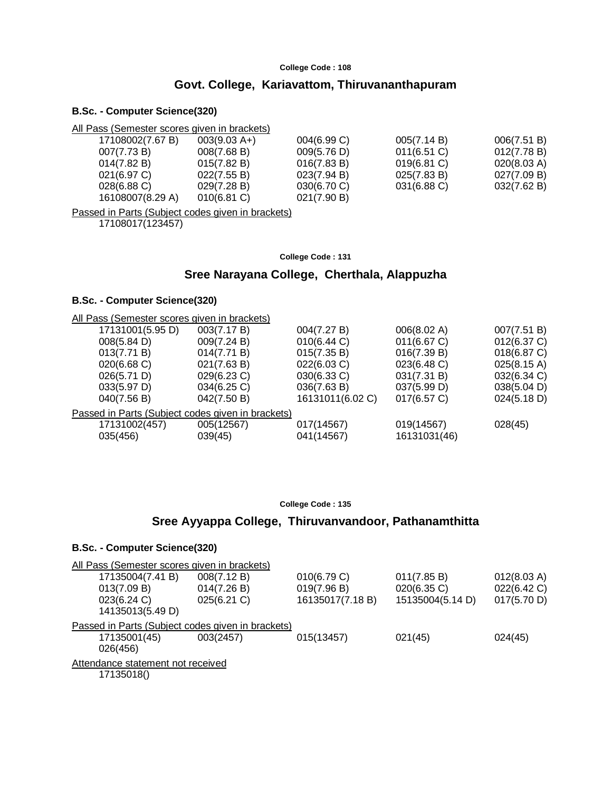# **Govt. College, Kariavattom, Thiruvananthapuram**

#### **B.Sc. - Computer Science(320)**

| All Pass (Semester scores given in brackets) |                |             |             |             |
|----------------------------------------------|----------------|-------------|-------------|-------------|
| 17108002(7.67 B)                             | $003(9.03 A+)$ | 004(6.99 C) | 005(7.14 B) | 006(7.51 B) |
| 007(7.73 B)                                  | 008(7.68 B)    | 009(5.76 D) | 011(6.51)   | 012(7.78 B) |
| 014(7.82 B)                                  | 015(7.82 B)    | 016(7.83 B) | 019(6.81 C) | 020(8.03 A) |
| 021(6.97 C)                                  | 022(7.55 B)    | 023(7.94 B) | 025(7.83 B) | 027(7.09 B) |
| $028(6.88)$ C)                               | 029(7.28 B)    | 030(6.70)   | 031(6.88 C) | 032(7.62 B) |
| 16108007(8.29 A)                             | $010(6.81)$ C) | 021(7.90 B) |             |             |

Passed in Parts (Subject codes given in brackets)

17108017(123457)

**College Code : 131**

#### **Sree Narayana College, Cherthala, Alappuzha**

#### **B.Sc. - Computer Science(320)**

| All Pass (Semester scores given in brackets)      |             |                  |              |             |
|---------------------------------------------------|-------------|------------------|--------------|-------------|
| 17131001(5.95 D)                                  | 003(7.17 B) | 004(7.27 B)      | 006(8.02 A)  | 007(7.51 B) |
| 008(5.84 D)                                       | 009(7.24 B) | 010(6.44 C)      | 011(6.67 C)  | 012(6.37 C) |
| 013(7.71 B)                                       | 014(7.71 B) | 015(7.35 B)      | 016(7.39 B)  | 018(6.87 C) |
| 020(6.68 C)                                       | 021(7.63 B) | 022(6.03 C)      | 023(6.48 C)  | 025(8.15 A) |
| 026(5.71 D)                                       | 029(6.23 C) | 030(6.33 C)      | 031(7.31 B)  | 032(6.34 C) |
| 033(5.97 D)                                       | 034(6.25 C) | 036(7.63 B)      | 037(5.99 D)  | 038(5.04 D) |
| 040(7.56 B)                                       | 042(7.50 B) | 16131011(6.02 C) | 017(6.57 C)  | 024(5.18 D) |
| Passed in Parts (Subject codes given in brackets) |             |                  |              |             |
| 17131002(457)                                     | 005(12567)  | 017(14567)       | 019(14567)   | 028(45)     |
| 035(456)                                          | 039(45)     | 041(14567)       | 16131031(46) |             |
|                                                   |             |                  |              |             |

**College Code : 135**

# **Sree Ayyappa College, Thiruvanvandoor, Pathanamthitta**

| All Pass (Semester scores given in brackets)      |             |                  |                  |             |
|---------------------------------------------------|-------------|------------------|------------------|-------------|
| 17135004(7.41 B)                                  | 008(7.12 B) | 010(6.79 C)      | 011(7.85 B)      | 012(8.03 A) |
| 013(7.09 B)                                       | 014(7.26 B) | 019(7.96 B)      | 020(6.35 C)      | 022(6.42 C) |
| 023(6.24 C)                                       | 025(6.21)   | 16135017(7.18 B) | 15135004(5.14 D) | 017(5.70 D) |
| 14135013(5.49 D)                                  |             |                  |                  |             |
| Passed in Parts (Subject codes given in brackets) |             |                  |                  |             |
| 17135001(45)                                      | 003(2457)   | 015(13457)       | 021(45)          | 024(45)     |
| 026(456)                                          |             |                  |                  |             |
| Attendance statement not received                 |             |                  |                  |             |
| 17135018()                                        |             |                  |                  |             |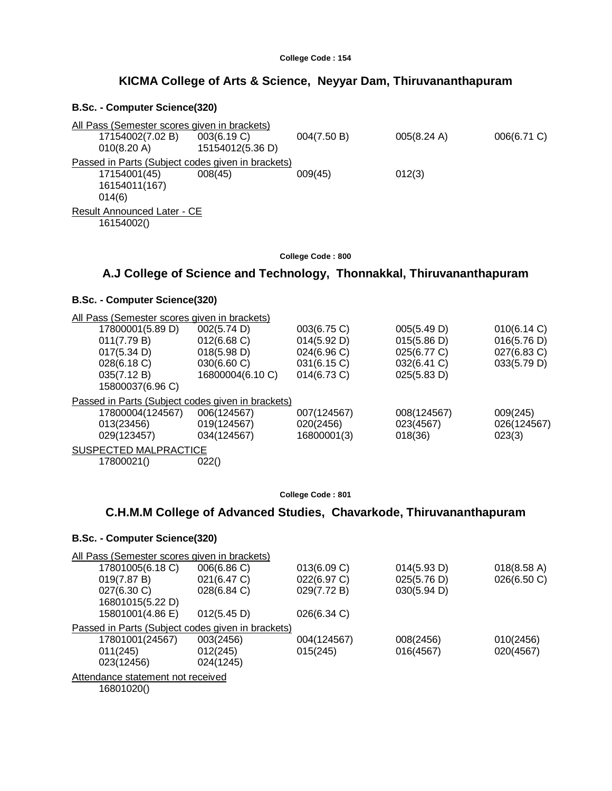| College Code: 154 |  |  |  |
|-------------------|--|--|--|
|-------------------|--|--|--|

# **KICMA College of Arts & Science, Neyyar Dam, Thiruvananthapuram**

#### **B.Sc. - Computer Science(320)**

| All Pass (Semester scores given in brackets)      |                  |             |             |             |  |
|---------------------------------------------------|------------------|-------------|-------------|-------------|--|
| 17154002(7.02 B)                                  | 003(6.19 C)      | 004(7.50 B) | 005(8.24 A) | 006(6.71 C) |  |
| 010(8.20 A)                                       | 15154012(5.36 D) |             |             |             |  |
| Passed in Parts (Subject codes given in brackets) |                  |             |             |             |  |
| 17154001(45)                                      | 008(45)          | 009(45)     | 012(3)      |             |  |
| 16154011(167)                                     |                  |             |             |             |  |
| 014(6)                                            |                  |             |             |             |  |
| Result Announced Later - CE                       |                  |             |             |             |  |
| 16154002()                                        |                  |             |             |             |  |
|                                                   |                  |             |             |             |  |

**College Code : 800**

# **A.J College of Science and Technology, Thonnakkal, Thiruvananthapuram**

# **B.Sc. - Computer Science(320)**

| All Pass (Semester scores given in brackets)      |                  |             |             |             |
|---------------------------------------------------|------------------|-------------|-------------|-------------|
| 17800001(5.89 D)                                  | 002(5.74 D)      | 003(6.75 C) | 005(5.49 D) | 010(6.14 C) |
| 011(7.79 B)                                       | 012(6.68)        | 014(5.92 D) | 015(5.86 D) | 016(5.76 D) |
| 017(5.34 D)                                       | 018(5.98 D)      | 024(6.96 C) | 025(6.77 C) | 027(6.83 C) |
| 028(6.18)                                         | 030(6.60 C)      | 031(6.15 C) | 032(6.41 C) | 033(5.79 D) |
| 035(7.12 B)                                       | 16800004(6.10 C) | 014(6.73 C) | 025(5.83 D) |             |
| 15800037(6.96 C)                                  |                  |             |             |             |
| Passed in Parts (Subject codes given in brackets) |                  |             |             |             |
| 17800004(124567)                                  | 006(124567)      | 007(124567) | 008(124567) | 009(245)    |
| 013(23456)                                        | 019(124567)      | 020(2456)   | 023(4567)   | 026(124567) |
| 029(123457)                                       | 034(124567)      | 16800001(3) | 018(36)     | 023(3)      |
| SUSPECTED MALPRACTICE                             |                  |             |             |             |
| 17800021()                                        | 022()            |             |             |             |
|                                                   |                  |             |             |             |

**College Code : 801**

# **C.H.M.M College of Advanced Studies, Chavarkode, Thiruvananthapuram**

| All Pass (Semester scores given in brackets)      |             |             |             |             |
|---------------------------------------------------|-------------|-------------|-------------|-------------|
| 17801005(6.18 C)                                  | 006(6.86 C) | 013(6.09 C) | 014(5.93 D) | 018(8.58 A) |
| 019(7.87 B)                                       | 021(6.47 C) | 022(6.97 C) | 025(5.76 D) | 026(6.50 C) |
| 027(6.30 C)                                       | 028(6.84 C) | 029(7.72 B) | 030(5.94 D) |             |
| 16801015(5.22 D)                                  |             |             |             |             |
| 15801001(4.86 E)                                  | 012(5.45 D) | 026(6.34 C) |             |             |
| Passed in Parts (Subject codes given in brackets) |             |             |             |             |
| 17801001(24567)                                   | 003(2456)   | 004(124567) | 008(2456)   | 010(2456)   |
| 011(245)                                          | 012(245)    | 015(245)    | 016(4567)   | 020(4567)   |
| 023(12456)                                        | 024(1245)   |             |             |             |
| Attendance statement not received                 |             |             |             |             |
| 16801020()                                        |             |             |             |             |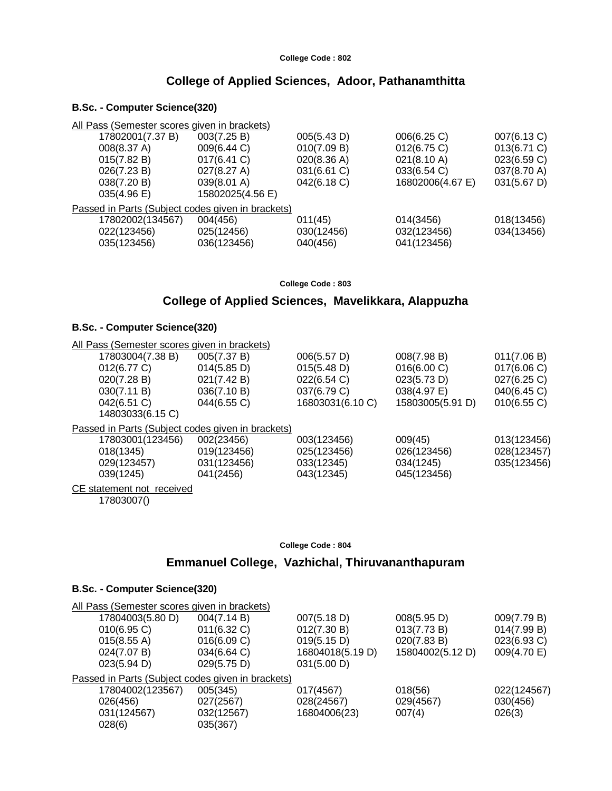# **College of Applied Sciences, Adoor, Pathanamthitta**

# **B.Sc. - Computer Science(320)**

| All Pass (Semester scores given in brackets)      |                       |             |                  |                |
|---------------------------------------------------|-----------------------|-------------|------------------|----------------|
| 17802001(7.37 B)                                  | 003(7.25 B)           | 005(5.43 D) | 006(6.25 C)      | 007(6.13 C)    |
| 008(8.37 A)                                       | 009(6.44 C)           | 010(7.09 B) | 012(6.75)        | $013(6.71)$ C) |
| 015(7.82 B)                                       | 017(6.41 C)           | 020(8.36 A) | 021(8.10 A)      | 023(6.59 C)    |
| 026(7.23 B)                                       | $027(8.27 \text{ A})$ | 031(6.61 C) | 033(6.54 C)      | 037(8.70 A)    |
| 038(7.20 B)                                       | $039(8.01 \text{ A})$ | 042(6.18 C) | 16802006(4.67 E) | 031(5.67 D)    |
| 035(4.96)                                         | 15802025(4.56 E)      |             |                  |                |
| Passed in Parts (Subject codes given in brackets) |                       |             |                  |                |
| 17802002(134567)                                  | 004(456)              | 011(45)     | 014(3456)        | 018(13456)     |
| 022(123456)                                       | 025(12456)            | 030(12456)  | 032(123456)      | 034(13456)     |
| 035(123456)                                       | 036(123456)           | 040(456)    | 041(123456)      |                |
|                                                   |                       |             |                  |                |

**College Code : 803**

# **College of Applied Sciences, Mavelikkara, Alappuzha**

#### **B.Sc. - Computer Science(320)**

| All Pass (Semester scores given in brackets)      |                       |                  |                  |             |
|---------------------------------------------------|-----------------------|------------------|------------------|-------------|
| 17803004(7.38 B)                                  | 005(7.37 B)           | 006(5.57 D)      | 008(7.98 B)      | 011(7.06 B) |
| 012(6.77 C)                                       | $014(5.85 \text{ D})$ | 015(5.48 D)      | 016(6.00 C)      | 017(6.06)   |
| 020(7.28 B)                                       | 021(7.42 B)           | 022(6.54 C)      | 023(5.73 D)      | 027(6.25 C) |
| 030(7.11 B)                                       | 036(7.10 B)           | 037(6.79 C)      | 038(4.97 E)      | 040(6.45 C) |
| 042(6.51 C)                                       | 044(6.55 C)           | 16803031(6.10 C) | 15803005(5.91 D) | 010(6.55 C) |
| 14803033(6.15 C)                                  |                       |                  |                  |             |
| Passed in Parts (Subject codes given in brackets) |                       |                  |                  |             |
| 17803001(123456)                                  | 002(23456)            | 003(123456)      | 009(45)          | 013(123456) |
| 018(1345)                                         | 019(123456)           | 025(123456)      | 026(123456)      | 028(123457) |
| 029(123457)                                       | 031(123456)           | 033(12345)       | 034(1245)        | 035(123456) |
| 039(1245)                                         | 041(2456)             | 043(12345)       | 045(123456)      |             |
| CE statement not received                         |                       |                  |                  |             |

17803007()

#### **College Code : 804**

# **Emmanuel College, Vazhichal, Thiruvananthapuram**

|                  | All Pass (Semester scores given in brackets)      |                  |                  |             |
|------------------|---------------------------------------------------|------------------|------------------|-------------|
| 17804003(5.80 D) | 004(7.14 B)                                       | 007(5.18 D)      | 008(5.95 D)      | 009(7.79 B) |
| 010(6.95)        | $011(6.32)$ C)                                    | 012(7.30 B)      | 013(7.73 B)      | 014(7.99 B) |
| 015(8.55 A)      | 016(6.09 C)                                       | 019(5.15 D)      | 020(7.83 B)      | 023(6.93 C) |
| 024(7.07 B)      | 034(6.64)                                         | 16804018(5.19 D) | 15804002(5.12 D) | 009(4.70 E) |
| 023(5.94 D)      | 029(5.75 D)                                       | 031(5.00 D)      |                  |             |
|                  | Passed in Parts (Subject codes given in brackets) |                  |                  |             |
| 17804002(123567) | 005(345)                                          | 017(4567)        | 018(56)          | 022(124567) |
| 026(456)         | 027(2567)                                         | 028(24567)       | 029(4567)        | 030(456)    |
| 031(124567)      | 032(12567)                                        | 16804006(23)     | 007(4)           | 026(3)      |
| 028(6)           | 035(367)                                          |                  |                  |             |
|                  |                                                   |                  |                  |             |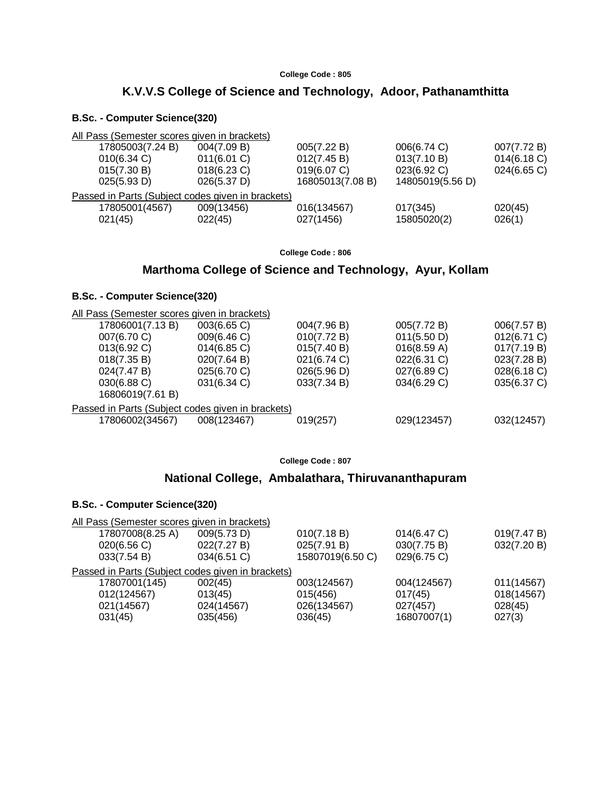# **K.V.V.S College of Science and Technology, Adoor, Pathanamthitta**

#### **B.Sc. - Computer Science(320)**

| All Pass (Semester scores given in brackets) |                                                   |                  |                  |                |
|----------------------------------------------|---------------------------------------------------|------------------|------------------|----------------|
| 17805003(7.24 B)                             | 004(7.09 B)                                       | 005(7.22 B)      | 006(6.74 C)      | 007(7.72 B)    |
| $010(6.34)$ C)                               | 011(6.01 C)                                       | 012(7.45 B)      | 013(7.10 B)      | 014(6.18)      |
| 015(7.30 B)                                  | $018(6.23)$ C)                                    | 019(6.07 C)      | 023(6.92 C)      | $024(6.65)$ C) |
| 025(5.93 D)                                  | 026(5.37)                                         | 16805013(7.08 B) | 14805019(5.56 D) |                |
|                                              | Passed in Parts (Subject codes given in brackets) |                  |                  |                |
| 17805001(4567)                               | 009(13456)                                        | 016(134567)      | 017(345)         | 020(45)        |
| 021(45)                                      | 022(45)                                           | 027(1456)        | 15805020(2)      | 026(1)         |

**College Code : 806**

# **Marthoma College of Science and Technology, Ayur, Kollam**

#### **B.Sc. - Computer Science(320)**

| 006(7.57 B) |
|-------------|
| 012(6.71 C) |
| 017(7.19 B) |
| 023(7.28 B) |
| 028(6.18 C) |
| 035(6.37 C) |
|             |
|             |
| 032(12457)  |
|             |

**College Code : 807**

# **National College, Ambalathara, Thiruvananthapuram**

| All Pass (Semester scores given in brackets)      |                |                  |                |             |
|---------------------------------------------------|----------------|------------------|----------------|-------------|
| 17807008(8.25 A)                                  | 009(5.73 D)    | 010(7.18 B)      | $014(6.47)$ C) | 019(7.47 B) |
| 020(6.56)                                         | 022(7.27 B)    | 025(7.91 B)      | 030(7.75 B)    | 032(7.20 B) |
| 033(7.54 B)                                       | $034(6.51)$ C) | 15807019(6.50 C) | 029(6.75 C)    |             |
| Passed in Parts (Subject codes given in brackets) |                |                  |                |             |
| 17807001(145)                                     | 002(45)        | 003(124567)      | 004(124567)    | 011(14567)  |
| 012(124567)                                       | 013(45)        | 015(456)         | 017(45)        | 018(14567)  |
| 021(14567)                                        | 024(14567)     | 026(134567)      | 027(457)       | 028(45)     |
| 031(45)                                           | 035(456)       | 036(45)          | 16807007(1)    | 027(3)      |
|                                                   |                |                  |                |             |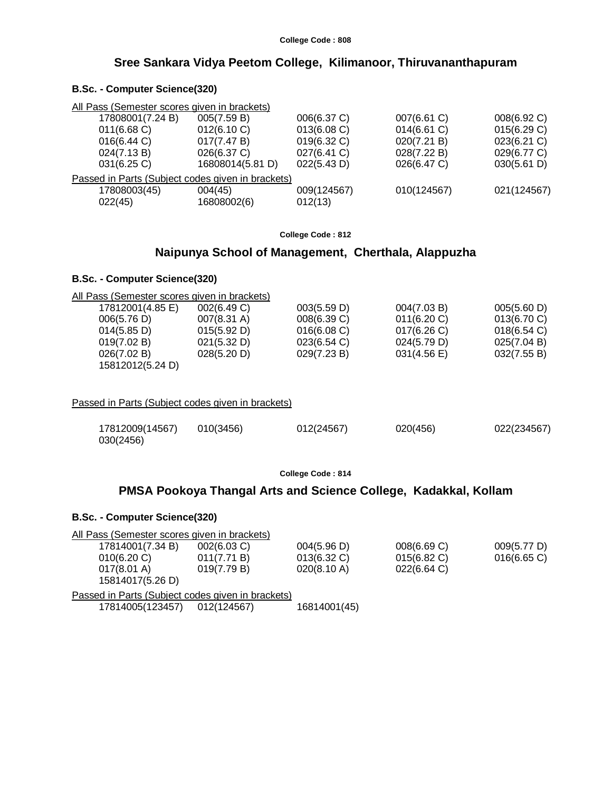# **Sree Sankara Vidya Peetom College, Kilimanoor, Thiruvananthapuram**

#### **B.Sc. - Computer Science(320)**

| All Pass (Semester scores given in brackets)      |                  |             |             |             |
|---------------------------------------------------|------------------|-------------|-------------|-------------|
| 17808001(7.24 B)                                  | 005(7.59 B)      | 006(6.37 C) | 007(6.61 C) | 008(6.92 C) |
| $011(6.68)$ C)                                    | 012(6.10 C)      | 013(6.08 C) | 014(6.61 C) | 015(6.29 C) |
| 016(6.44)                                         | 017(7.47 B)      | 019(6.32 C) | 020(7.21 B) | 023(6.21 C) |
| 024(7.13 B)                                       | 026(6.37 C)      | 027(6.41 C) | 028(7.22 B) | 029(6.77 C) |
| $031(6.25)$ C)                                    | 16808014(5.81 D) | 022(5.43 D) | 026(6.47 C) | 030(5.61 D) |
| Passed in Parts (Subject codes given in brackets) |                  |             |             |             |
| 17808003(45)                                      | 004(45)          | 009(124567) | 010(124567) | 021(124567) |
| 022(45)                                           | 16808002(6)      | 012(13)     |             |             |
|                                                   |                  |             |             |             |

#### **College Code : 812**

#### **Naipunya School of Management, Cherthala, Alappuzha**

#### **B.Sc. - Computer Science(320)**

|                       | All Pass (Semester scores given in brackets) |             |             |             |
|-----------------------|----------------------------------------------|-------------|-------------|-------------|
| 17812001(4.85 E)      | 002(6.49 C)                                  | 003(5.59 D) | 004(7.03 B) | 005(5.60 D) |
| 006(5.76 D)           | $007(8.31 \text{ A})$                        | 008(6.39 C) | 011(6.20 C) | 013(6.70)   |
| $014(5.85 \text{ D})$ | 015(5.92 D)                                  | 016(6.08)   | 017(6.26)   | 018(6.54)   |
| 019(7.02 B)           | 021(5.32 D)                                  | 023(6.54)   | 024(5.79 D) | 025(7.04 B) |
| 026(7.02 B)           | 028(5.20 D)                                  | 029(7.23 B) | 031(4.56)   | 032(7.55 B) |

15812012(5.24 D)

Passed in Parts (Subject codes given in brackets)

| 17812009(14567) | 010(3456) | 012(24567) | 020(456) | 022(234567) |
|-----------------|-----------|------------|----------|-------------|
| 030(2456)       |           |            |          |             |

**College Code : 814**

#### **PMSA Pookoya Thangal Arts and Science College, Kadakkal, Kollam**

| All Pass (Semester scores given in brackets)      |             |              |
|---------------------------------------------------|-------------|--------------|
| 004(5.96 D)<br>$002(6.03)$ C)                     | 008(6.69 C) | 009(5.77 D)  |
| $013(6.32)$ C)<br>011(7.71 B)                     | 015(6.82)   | 016(6.65)    |
| 020(8.10 A)<br>019(7.79 B)                        | 022(6.64 C) |              |
| Passed in Parts (Subject codes given in brackets) |             |              |
| 012(124567)                                       |             |              |
|                                                   |             | 16814001(45) |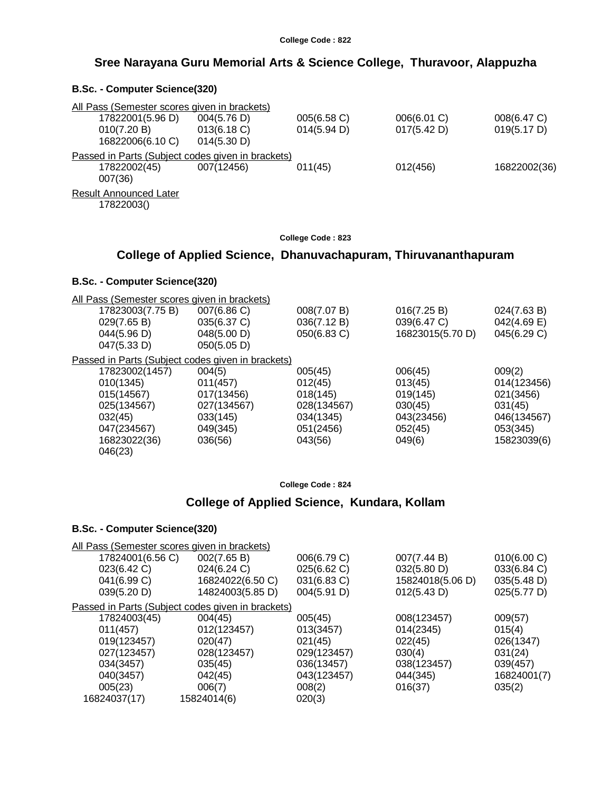# **Sree Narayana Guru Memorial Arts & Science College, Thuravoor, Alappuzha**

#### **B.Sc. - Computer Science(320)**

| All Pass (Semester scores given in brackets)      |             |             |             |              |
|---------------------------------------------------|-------------|-------------|-------------|--------------|
| 17822001(5.96 D)                                  | 004(5.76 D) | 005(6.58 C) | 006(6.01 C) | 008(6.47 C)  |
| 010(7.20 B)                                       | 013(6.18)   | 014(5.94 D) | 017(5.42 D) | 019(5.17 D)  |
| 16822006(6.10 C)                                  | 014(5.30 D) |             |             |              |
| Passed in Parts (Subject codes given in brackets) |             |             |             |              |
| 17822002(45)<br>007(36)                           | 007(12456)  | 011(45)     | 012(456)    | 16822002(36) |
| <b>Result Announced Later</b><br>17822003()       |             |             |             |              |
|                                                   |             |             |             |              |

**College Code : 823**

# **College of Applied Science, Dhanuvachapuram, Thiruvananthapuram**

#### **B.Sc. - Computer Science(320)**

| All Pass (Semester scores given in brackets)      |             |             |                  |             |
|---------------------------------------------------|-------------|-------------|------------------|-------------|
| 17823003(7.75 B)                                  | 007(6.86 C) | 008(7.07 B) | 016(7.25 B)      | 024(7.63 B) |
| 029(7.65 B)                                       | 035(6.37 C) | 036(7.12 B) | 039(6.47 C)      | 042(4.69 E) |
| 044(5.96 D)                                       | 048(5.00 D) | 050(6.83 C) | 16823015(5.70 D) | 045(6.29 C) |
| 047(5.33 D)                                       | 050(5.05 D) |             |                  |             |
| Passed in Parts (Subject codes given in brackets) |             |             |                  |             |
| 17823002(1457)                                    | 004(5)      | 005(45)     | 006(45)          | 009(2)      |
| 010(1345)                                         | 011(457)    | 012(45)     | 013(45)          | 014(123456) |
| 015(14567)                                        | 017(13456)  | 018(145)    | 019(145)         | 021(3456)   |
| 025(134567)                                       | 027(134567) | 028(134567) | 030(45)          | 031(45)     |
| 032(45)                                           | 033(145)    | 034(1345)   | 043(23456)       | 046(134567) |
| 047(234567)                                       | 049(345)    | 051(2456)   | 052(45)          | 053(345)    |
| 16823022(36)                                      | 036(56)     | 043(56)     | 049(6)           | 15823039(6) |
| 046(23)                                           |             |             |                  |             |

#### **College Code : 824**

# **College of Applied Science, Kundara, Kollam**

|                  | All Pass (Semester scores given in brackets)      |             |                  |             |
|------------------|---------------------------------------------------|-------------|------------------|-------------|
| 17824001(6.56 C) | 002(7.65 B)                                       | 006(6.79 C) | 007(7.44 B)      | 010(6.00 C) |
| 023(6.42 C)      | 024(6.24 C)                                       | 025(6.62 C) | 032(5.80 D)      | 033(6.84 C) |
| 041(6.99 C)      | 16824022(6.50 C)                                  | 031(6.83 C) | 15824018(5.06 D) | 035(5.48 D) |
| 039(5.20 D)      | 14824003(5.85 D)                                  | 004(5.91 D) | 012(5.43 D)      | 025(5.77 D) |
|                  | Passed in Parts (Subject codes given in brackets) |             |                  |             |
| 17824003(45)     | 004(45)                                           | 005(45)     | 008(123457)      | 009(57)     |
| 011(457)         | 012(123457)                                       | 013(3457)   | 014(2345)        | 015(4)      |
| 019(123457)      | 020(47)                                           | 021(45)     | 022(45)          | 026(1347)   |
| 027(123457)      | 028(123457)                                       | 029(123457) | 030(4)           | 031(24)     |
| 034(3457)        | 035(45)                                           | 036(13457)  | 038(123457)      | 039(457)    |
| 040(3457)        | 042(45)                                           | 043(123457) | 044(345)         | 16824001(7) |
| 005(23)          | 006(7)                                            | 008(2)      | 016(37)          | 035(2)      |
| 16824037(17)     | 15824014(6)                                       | 020(3)      |                  |             |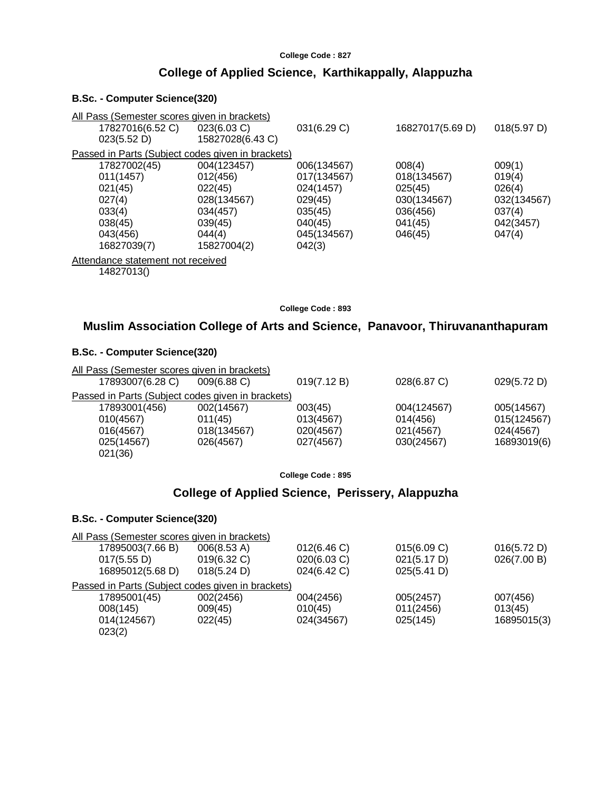# **College of Applied Science, Karthikappally, Alappuzha**

#### **B.Sc. - Computer Science(320)**

| All Pass (Semester scores given in brackets)      |                  |             |                  |             |
|---------------------------------------------------|------------------|-------------|------------------|-------------|
| 17827016(6.52 C)                                  | 023(6.03 C)      | 031(6.29 C) | 16827017(5.69 D) | 018(5.97 D) |
| 023(5.52 D)                                       | 15827028(6.43 C) |             |                  |             |
| Passed in Parts (Subject codes given in brackets) |                  |             |                  |             |
| 17827002(45)                                      | 004(123457)      | 006(134567) | 008(4)           | 009(1)      |
| 011(1457)                                         | 012(456)         | 017(134567) | 018(134567)      | 019(4)      |
| 021(45)                                           | 022(45)          | 024(1457)   | 025(45)          | 026(4)      |
| 027(4)                                            | 028(134567)      | 029(45)     | 030(134567)      | 032(134567) |
| 033(4)                                            | 034(457)         | 035(45)     | 036(456)         | 037(4)      |
| 038(45)                                           | 039(45)          | 040(45)     | 041(45)          | 042(3457)   |
| 043(456)                                          | 044(4)           | 045(134567) | 046(45)          | 047(4)      |
| 16827039(7)                                       | 15827004(2)      | 042(3)      |                  |             |
| Attendance statement not received                 |                  |             |                  |             |
| 14827013()                                        |                  |             |                  |             |
|                                                   |                  |             |                  |             |

**College Code : 893**

# **Muslim Association College of Arts and Science, Panavoor, Thiruvananthapuram**

#### **B.Sc. - Computer Science(320)**

| 17893007(6.28 C) | $009(6.88)$ C) | 019(7.12 B)                                                                                       | 028(6.87 C) | 029(5.72 D) |
|------------------|----------------|---------------------------------------------------------------------------------------------------|-------------|-------------|
|                  |                |                                                                                                   |             |             |
| 17893001(456)    | 002(14567)     | 003(45)                                                                                           | 004(124567) | 005(14567)  |
| 010(4567)        | 011(45)        | 013(4567)                                                                                         | 014(456)    | 015(124567) |
| 016(4567)        | 018(134567)    | 020(4567)                                                                                         | 021(4567)   | 024(4567)   |
| 025(14567)       | 026(4567)      | 027(4567)                                                                                         | 030(24567)  | 16893019(6) |
| 021(36)          |                |                                                                                                   |             |             |
|                  |                | All Pass (Semester scores given in brackets)<br>Passed in Parts (Subject codes given in brackets) |             |             |

**College Code : 895**

# **College of Applied Science, Perissery, Alappuzha**

| All Pass (Semester scores given in brackets)      |             |             |             |             |
|---------------------------------------------------|-------------|-------------|-------------|-------------|
| 17895003(7.66 B)                                  | 006(8.53 A) | 012(6.46)   | 015(6.09 C) | 016(5.72 D) |
| 017(5.55 D)                                       | 019(6.32 C) | 020(6.03 C) | 021(5.17 D) | 026(7.00 B) |
| 16895012(5.68 D)                                  | 018(5.24 D) | 024(6.42 C) | 025(5.41 D) |             |
| Passed in Parts (Subject codes given in brackets) |             |             |             |             |
| 17895001(45)                                      | 002(2456)   | 004(2456)   | 005(2457)   | 007(456)    |
| 008(145)                                          | 009(45)     | 010(45)     | 011(2456)   | 013(45)     |
| 014(124567)                                       | 022(45)     | 024(34567)  | 025(145)    | 16895015(3) |
| 023(2)                                            |             |             |             |             |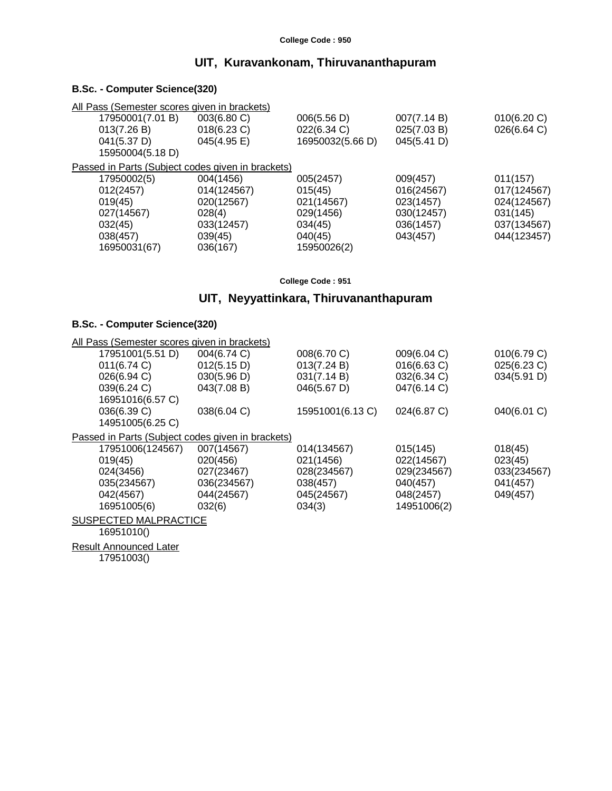# **UIT, Kuravankonam, Thiruvananthapuram**

# **B.Sc. - Computer Science(320)**

| All Pass (Semester scores given in brackets)      |                |                  |             |             |
|---------------------------------------------------|----------------|------------------|-------------|-------------|
| 17950001(7.01 B)                                  | 003(6.80 C)    | 006(5.56 D)      | 007(7.14 B) | 010(6.20 C) |
| 013(7.26 B)                                       | $018(6.23)$ C) | 022(6.34 C)      | 025(7.03 B) | 026(6.64 C) |
| 041(5.37 D)                                       | 045(4.95 E)    | 16950032(5.66 D) | 045(5.41 D) |             |
| 15950004(5.18 D)                                  |                |                  |             |             |
| Passed in Parts (Subject codes given in brackets) |                |                  |             |             |
| 17950002(5)                                       | 004(1456)      | 005(2457)        | 009(457)    | 011(157)    |
| 012(2457)                                         | 014(124567)    | 015(45)          | 016(24567)  | 017(124567) |
| 019(45)                                           | 020(12567)     | 021(14567)       | 023(1457)   | 024(124567) |
| 027(14567)                                        | 028(4)         | 029(1456)        | 030(12457)  | 031(145)    |
| 032(45)                                           | 033(12457)     | 034(45)          | 036(1457)   | 037(134567) |
| 038(457)                                          | 039(45)        | 040(45)          | 043(457)    | 044(123457) |
| 16950031(67)                                      | 036(167)       | 15950026(2)      |             |             |

**College Code : 951**

# **UIT, Neyyattinkara, Thiruvananthapuram**

#### **B.Sc. - Computer Science(320)**

| All Pass (Semester scores given in brackets)      |             |                  |             |                |
|---------------------------------------------------|-------------|------------------|-------------|----------------|
| 17951001(5.51 D)                                  | 004(6.74 C) | 008(6.70 C)      | 009(6.04 C) | 010(6.79 C)    |
| 011(6.74)                                         | 012(5.15 D) | 013(7.24 B)      | 016(6.63 C) | $025(6.23)$ C) |
| 026(6.94 C)                                       | 030(5.96 D) | 031(7.14 B)      | 032(6.34 C) | 034(5.91 D)    |
| 039(6.24 C)                                       | 043(7.08 B) | 046(5.67 D)      | 047(6.14 C) |                |
| 16951016(6.57 C)                                  |             |                  |             |                |
| 036(6.39 C)                                       | 038(6.04 C) | 15951001(6.13 C) | 024(6.87 C) | 040(6.01 C)    |
| 14951005(6.25 C)                                  |             |                  |             |                |
| Passed in Parts (Subject codes given in brackets) |             |                  |             |                |
| 17951006(124567)                                  | 007(14567)  | 014(134567)      | 015(145)    | 018(45)        |
| 019(45)                                           | 020(456)    | 021(1456)        | 022(14567)  | 023(45)        |
| 024(3456)                                         | 027(23467)  | 028(234567)      | 029(234567) | 033(234567)    |
| 035(234567)                                       | 036(234567) | 038(457)         | 040(457)    | 041(457)       |
| 042(4567)                                         | 044(24567)  | 045(24567)       | 048(2457)   | 049(457)       |
| 16951005(6)                                       | 032(6)      | 034(3)           | 14951006(2) |                |
| SUSPECTED MALPRACTICE                             |             |                  |             |                |
| 16951010()                                        |             |                  |             |                |
| <b>Result Announced Later</b>                     |             |                  |             |                |

17951003()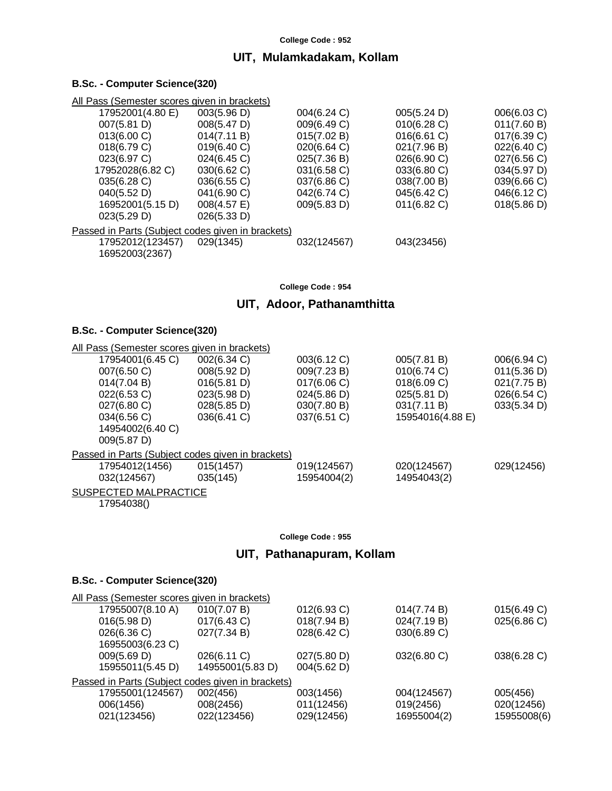# **UIT, Mulamkadakam, Kollam**

# **B.Sc. - Computer Science(320)**

| All Pass (Semester scores given in brackets)      |                |             |             |             |
|---------------------------------------------------|----------------|-------------|-------------|-------------|
| 17952001(4.80 E)                                  | 003(5.96 D)    | 004(6.24 C) | 005(5.24 D) | 006(6.03 C) |
| 007(5.81 D)                                       | 008(5.47 D)    | 009(6.49 C) | 010(6.28)   | 011(7.60 B) |
| $013(6.00 \text{ C})$                             | 014(7.11 B)    | 015(7.02 B) | 016(6.61 C) | 017(6.39 C) |
| 018(6.79 C)                                       | 019(6.40 C)    | 020(6.64 C) | 021(7.96 B) | 022(6.40 C) |
| 023(6.97 C)                                       | 024(6.45 C)    | 025(7.36 B) | 026(6.90 C) | 027(6.56 C) |
| 17952028(6.82 C)                                  | 030(6.62 C)    | 031(6.58 C) | 033(6.80 C) | 034(5.97 D) |
| 035(6.28 C)                                       | 036(6.55 C)    | 037(6.86 C) | 038(7.00 B) | 039(6.66 C) |
| 040(5.52 D)                                       | 041(6.90 C)    | 042(6.74 C) | 045(6.42 C) | 046(6.12 C) |
| 16952001(5.15 D)                                  | $008(4.57)$ E) | 009(5.83 D) | 011(6.82 C) | 018(5.86 D) |
| 023(5.29 D)                                       | 026(5.33 D)    |             |             |             |
| Passed in Parts (Subject codes given in brackets) |                |             |             |             |
| 17952012(123457)                                  | 029(1345)      | 032(124567) | 043(23456)  |             |
| 16952003(2367)                                    |                |             |             |             |

**College Code : 954**

# **UIT, Adoor, Pathanamthitta**

#### **B.Sc. - Computer Science(320)**

| All Pass (Semester scores given in brackets)      |                       |             |                  |             |
|---------------------------------------------------|-----------------------|-------------|------------------|-------------|
| 17954001(6.45 C)                                  | 002(6.34 C)           | 003(6.12 C) | 005(7.81 B)      | 006(6.94 C) |
| 007(6.50 C)                                       | 008(5.92 D)           | 009(7.23 B) | 010(6.74 C)      | 011(5.36 D) |
| 014(7.04 B)                                       | 016(5.81 D)           | 017(6.06 C) | 018(6.09 C)      | 021(7.75 B) |
| 022(6.53 C)                                       | 023(5.98 D)           | 024(5.86 D) | 025(5.81 D)      | 026(6.54 C) |
| $027(6.80 \text{ C})$                             | $028(5.85 \text{ D})$ | 030(7.80 B) | 031(7.11 B)      | 033(5.34 D) |
| 034(6.56 C)                                       | 036(6.41 C)           | 037(6.51 C) | 15954016(4.88 E) |             |
| 14954002(6.40 C)                                  |                       |             |                  |             |
| 009(5.87 D)                                       |                       |             |                  |             |
| Passed in Parts (Subject codes given in brackets) |                       |             |                  |             |
| 17954012(1456)                                    | 015(1457)             | 019(124567) | 020(124567)      | 029(12456)  |
| 032(124567)                                       | 035(145)              | 15954004(2) | 14954043(2)      |             |
| SUSPECTED MALPRACTICE                             |                       |             |                  |             |
| 179540380                                         |                       |             |                  |             |

17954038()

#### **College Code : 955**

# **UIT, Pathanapuram, Kollam**

| All Pass (Semester scores given in brackets) |             |                                                   |             |
|----------------------------------------------|-------------|---------------------------------------------------|-------------|
| 010(7.07 B)                                  | 012(6.93 C) | 014(7.74 B)                                       | 015(6.49 C) |
| 017(6.43 C)                                  | 018(7.94 B) | 024(7.19 B)                                       | 025(6.86 C) |
| 027(7.34 B)                                  | 028(6.42 C) | 030(6.89 C)                                       |             |
|                                              |             |                                                   |             |
| 026(6.11 C)                                  | 027(5.80 D) | 032(6.80 C)                                       | 038(6.28 C) |
| 14955001(5.83 D)                             | 004(5.62 D) |                                                   |             |
|                                              |             |                                                   |             |
| 002(456)                                     | 003(1456)   | 004(124567)                                       | 005(456)    |
| 008(2456)                                    | 011(12456)  | 019(2456)                                         | 020(12456)  |
| 022(123456)                                  | 029(12456)  | 16955004(2)                                       | 15955008(6) |
|                                              |             | Passed in Parts (Subject codes given in brackets) |             |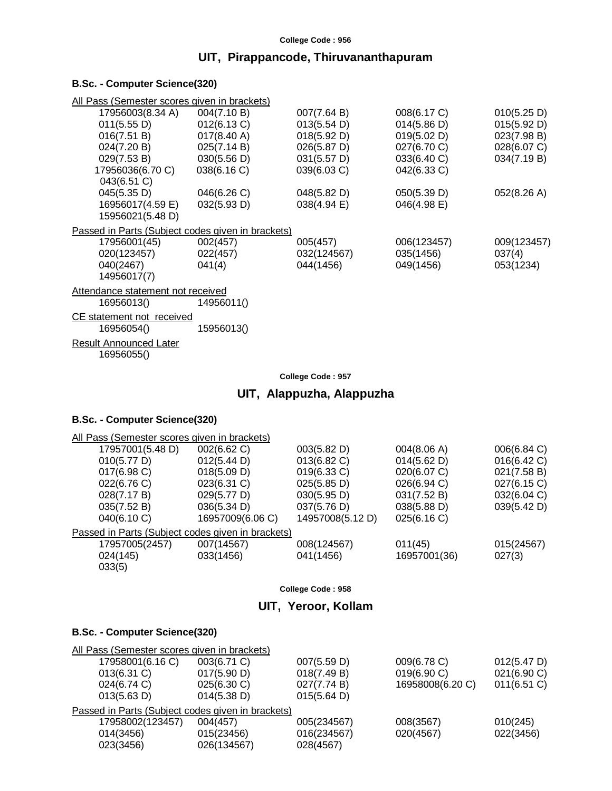# **UIT, Pirappancode, Thiruvananthapuram**

# **B.Sc. - Computer Science(320)**

| All Pass (Semester scores given in brackets)      |                       |                |             |             |
|---------------------------------------------------|-----------------------|----------------|-------------|-------------|
| 17956003(8.34 A)                                  | 004(7.10 B)           | 007(7.64 B)    | 008(6.17 C) | 010(5.25 D) |
| 011(5.55 D)                                       | 012(6.13 C)           | 013(5.54 D)    | 014(5.86 D) | 015(5.92 D) |
| 016(7.51 B)                                       | $017(8.40 \text{ A})$ | 018(5.92 D)    | 019(5.02 D) | 023(7.98 B) |
| 024(7.20 B)                                       | 025(7.14 B)           | 026(5.87 D)    | 027(6.70 C) | 028(6.07 C) |
| 029(7.53 B)                                       | 030(5.56 D)           | 031(5.57 D)    | 033(6.40 C) | 034(7.19 B) |
| 17956036(6.70 C)                                  | 038(6.16)             | $039(6.03)$ C) | 042(6.33 C) |             |
| 043(6.51 C)                                       |                       |                |             |             |
| 045(5.35 D)                                       | 046(6.26 C)           | 048(5.82 D)    | 050(5.39 D) | 052(8.26 A) |
| 16956017(4.59 E)                                  | 032(5.93 D)           | 038(4.94)      | 046(4.98 E) |             |
| 15956021(5.48 D)                                  |                       |                |             |             |
| Passed in Parts (Subject codes given in brackets) |                       |                |             |             |
| 17956001(45)                                      | 002(457)              | 005(457)       | 006(123457) | 009(123457) |
| 020(123457)                                       | 022(457)              | 032(124567)    | 035(1456)   | 037(4)      |
| 040(2467)                                         | 041(4)                | 044(1456)      | 049(1456)   | 053(1234)   |
| 14956017(7)                                       |                       |                |             |             |
| Attendance statement not received                 |                       |                |             |             |
| 16956013()                                        | 14956011()            |                |             |             |
| <b>CE</b> statement not received                  |                       |                |             |             |
| 16956054()                                        | 15956013()            |                |             |             |
| Result Announced Later                            |                       |                |             |             |
| 16956055()                                        |                       |                |             |             |
|                                                   |                       |                |             |             |

#### **College Code : 957**

# **UIT, Alappuzha, Alappuzha**

#### **B.Sc. - Computer Science(320)**

| All Pass (Semester scores given in brackets)      |                  |                  |              |             |
|---------------------------------------------------|------------------|------------------|--------------|-------------|
| 17957001(5.48 D)                                  | 002(6.62 C)      | 003(5.82 D)      | 004(8.06 A)  | 006(6.84 C) |
| 010(5.77 D)                                       | 012(5.44 D)      | 013(6.82 C)      | 014(5.62 D)  | 016(6.42 C) |
| $017(6.98)$ C)                                    | 018(5.09 D)      | 019(6.33 C)      | 020(6.07 C)  | 021(7.58 B) |
| 022(6.76 C)                                       | 023(6.31 C)      | 025(5.85 D)      | 026(6.94 C)  | 027(6.15 C) |
| 028(7.17 B)                                       | 029(5.77 D)      | 030(5.95 D)      | 031(7.52 B)  | 032(6.04 C) |
| 035(7.52 B)                                       | 036(5.34 D)      | 037(5.76 D)      | 038(5.88 D)  | 039(5.42 D) |
| 040(6.10 C)                                       | 16957009(6.06 C) | 14957008(5.12 D) | 025(6.16 C)  |             |
| Passed in Parts (Subject codes given in brackets) |                  |                  |              |             |
| 17957005(2457)                                    | 007(14567)       | 008(124567)      | 011(45)      | 015(24567)  |
| 024(145)                                          | 033(1456)        | 041(1456)        | 16957001(36) | 027(3)      |
| 033(5)                                            |                  |                  |              |             |
|                                                   |                  |                  |              |             |

#### **College Code : 958**

# **UIT, Yeroor, Kollam**

| All Pass (Semester scores given in brackets)      |                       |             |                  |                |
|---------------------------------------------------|-----------------------|-------------|------------------|----------------|
| 17958001(6.16 C)                                  | 003(6.71 C)           | 007(5.59 D) | 009(6.78 C)      | 012(5.47 D)    |
| $013(6.31)$ C)                                    | 017(5.90 D)           | 018(7.49 B) | 019(6.90 C)      | 021(6.90 C)    |
| 024(6.74 C)                                       | $025(6.30)$ C)        | 027(7.74 B) | 16958008(6.20 C) | $011(6.51)$ C) |
| 013(5.63 D)                                       | $014(5.38 \text{ D})$ | 015(5.64 D) |                  |                |
| Passed in Parts (Subject codes given in brackets) |                       |             |                  |                |
| 17958002(123457)                                  | 004(457)              | 005(234567) | 008(3567)        | 010(245)       |
| 014(3456)                                         | 015(23456)            | 016(234567) | 020(4567)        | 022(3456)      |
| 023(3456)                                         | 026(134567)           | 028(4567)   |                  |                |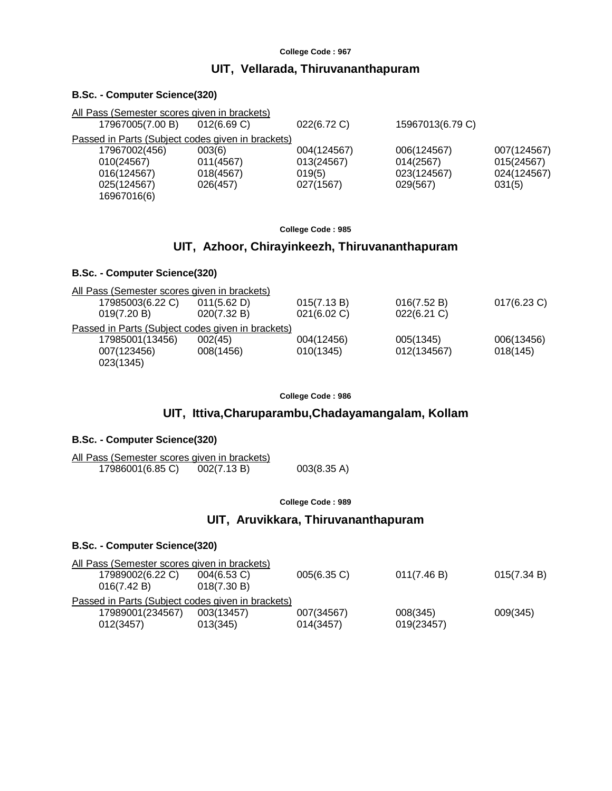# **UIT, Vellarada, Thiruvananthapuram**

#### **B.Sc. - Computer Science(320)**

| All Pass (Semester scores given in brackets)      |             |             |                  |             |
|---------------------------------------------------|-------------|-------------|------------------|-------------|
| 17967005(7.00 B)                                  | 012(6.69 C) | 022(6.72 C) | 15967013(6.79 C) |             |
| Passed in Parts (Subject codes given in brackets) |             |             |                  |             |
| 17967002(456)                                     | 003(6)      | 004(124567) | 006(124567)      | 007(124567) |
| 010(24567)                                        | 011(4567)   | 013(24567)  | 014(2567)        | 015(24567)  |
| 016(124567)                                       | 018(4567)   | 019(5)      | 023(124567)      | 024(124567) |
| 025(124567)                                       | 026(457)    | 027(1567)   | 029(567)         | 031(5)      |
| 16967016(6)                                       |             |             |                  |             |
|                                                   |             |             |                  |             |

#### **College Code : 985**

# **UIT, Azhoor, Chirayinkeezh, Thiruvananthapuram**

#### **B.Sc. - Computer Science(320)**

| All Pass (Semester scores given in brackets)      |             |             |                |                |
|---------------------------------------------------|-------------|-------------|----------------|----------------|
| 17985003(6.22 C)                                  | 011(5.62 D) | 015(7.13 B) | 016(7.52 B)    | $017(6.23)$ C) |
| 019(7.20 B)                                       | 020(7.32 B) | 021(6.02 C) | $022(6.21)$ C) |                |
| Passed in Parts (Subject codes given in brackets) |             |             |                |                |
| 17985001(13456)                                   | 002(45)     | 004(12456)  | 005(1345)      | 006(13456)     |
| 007(123456)                                       | 008(1456)   | 010(1345)   | 012(134567)    | 018(145)       |
| 023(1345)                                         |             |             |                |                |

**College Code : 986**

# **UIT, Ittiva,Charuparambu,Chadayamangalam, Kollam**

#### **B.Sc. - Computer Science(320)**

| All Pass (Semester scores given in brackets) |             |                       |
|----------------------------------------------|-------------|-----------------------|
| 17986001(6.85 C)                             | 002(7.13 B) | $003(8.35 \text{ A})$ |

**College Code : 989**

# **UIT, Aruvikkara, Thiruvananthapuram**

| $004(6.53)$ C) | 005(6.35 C)                                  | 011(7.46 B)                                       | 015(7.34 B) |
|----------------|----------------------------------------------|---------------------------------------------------|-------------|
| 018(7.30 B)    |                                              |                                                   |             |
|                |                                              |                                                   |             |
| 003(13457)     | 007(34567)                                   | 008(345)                                          | 009(345)    |
| 013(345)       | 014(3457)                                    | 019(23457)                                        |             |
|                | All Pass (Semester scores given in brackets) | Passed in Parts (Subject codes given in brackets) |             |